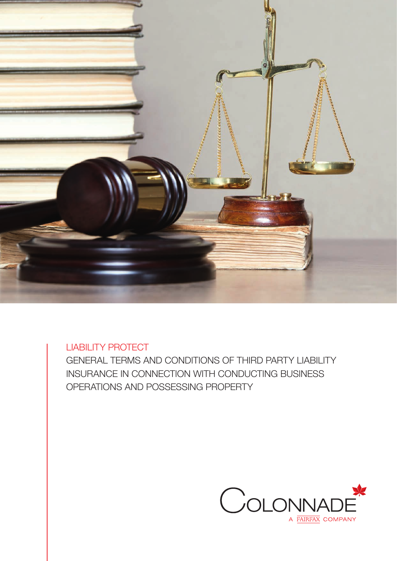

LIABILITY PROTECT

GENERAL TERMS AND CONDITIONS OF THIRD PARTY LIABILITY INSURANCE IN CONNECTION WITH CONDUCTING BUSINESS OPERATIONS AND POSSESSING PROPERTY

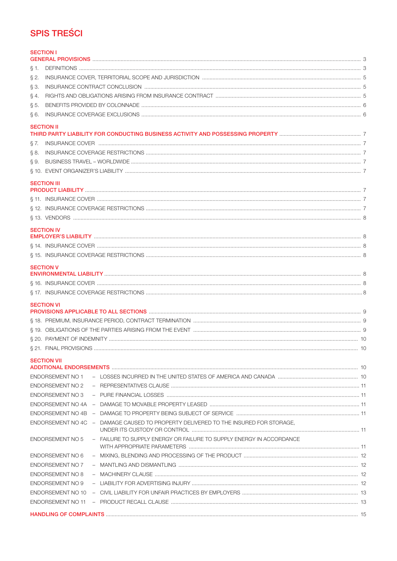# **SPIS TREŚCI**

| <b>SECTION I</b>        |                                                                                     |    |
|-------------------------|-------------------------------------------------------------------------------------|----|
|                         |                                                                                     |    |
| § 1.                    |                                                                                     |    |
| $\S 2.$                 |                                                                                     |    |
| S 3.                    |                                                                                     |    |
| §4.                     |                                                                                     |    |
| § 5.                    |                                                                                     |    |
| §6.                     |                                                                                     |    |
| <b>SECTION II</b>       |                                                                                     |    |
|                         |                                                                                     |    |
| § 7.                    |                                                                                     |    |
| § 8.                    |                                                                                     |    |
| Ş 9.                    |                                                                                     |    |
|                         |                                                                                     |    |
| <b>SECTION III</b>      |                                                                                     |    |
|                         |                                                                                     |    |
|                         |                                                                                     |    |
|                         |                                                                                     |    |
|                         |                                                                                     |    |
| <b>SECTION IV</b>       |                                                                                     |    |
|                         |                                                                                     |    |
|                         |                                                                                     |    |
|                         |                                                                                     |    |
| <b>SECTION V</b>        |                                                                                     |    |
|                         |                                                                                     |    |
|                         |                                                                                     |    |
|                         |                                                                                     |    |
| <b>SECTION VI</b>       |                                                                                     |    |
|                         |                                                                                     |    |
|                         |                                                                                     |    |
|                         |                                                                                     |    |
|                         |                                                                                     | 10 |
|                         |                                                                                     |    |
| <b>SECTION VII</b>      |                                                                                     |    |
|                         |                                                                                     |    |
| ENDORSEMENT NO 1        |                                                                                     |    |
| <b>ENDORSEMENT NO 2</b> |                                                                                     |    |
| ENDORSEMENT NO 3        |                                                                                     |    |
|                         |                                                                                     |    |
|                         |                                                                                     |    |
|                         | ENDORSEMENT NO 4C - DAMAGE CAUSED TO PROPERTY DELIVERED TO THE INSURED FOR STORAGE, |    |
| <b>ENDORSEMENT NO 5</b> | - FAILURE TO SUPPLY ENERGY OR FAILURE TO SUPPLY ENERGY IN ACCORDANCE                |    |
| <b>ENDORSEMENT NO 6</b> |                                                                                     |    |
| <b>ENDORSEMENT NO 7</b> |                                                                                     |    |
| <b>ENDORSEMENT NO 8</b> |                                                                                     |    |
| ENDORSEMENT NO 9        |                                                                                     |    |
| ENDORSEMENT NO 10       |                                                                                     |    |
|                         |                                                                                     |    |
|                         |                                                                                     |    |
|                         |                                                                                     |    |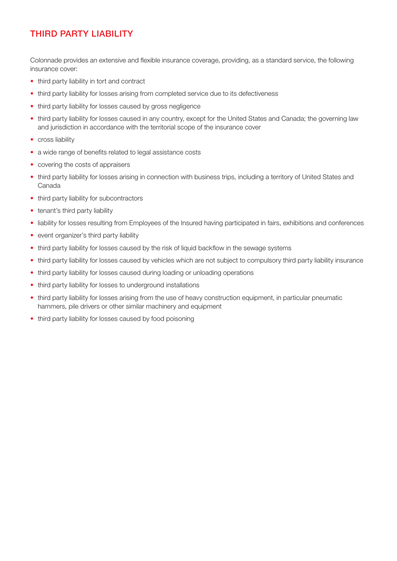## THIRD PARTY LIABILITY

Colonnade provides an extensive and flexible insurance coverage, providing, as a standard service, the following insurance cover:

- third party liability in tort and contract
- third party liability for losses arising from completed service due to its defectiveness
- third party liability for losses caused by gross negligence
- third party liability for losses caused in any country, except for the United States and Canada; the governing law and jurisdiction in accordance with the territorial scope of the insurance cover
- cross liability
- a wide range of benefits related to legal assistance costs
- covering the costs of appraisers
- third party liability for losses arising in connection with business trips, including a territory of United States and Canada
- third party liability for subcontractors
- tenant's third party liability
- liability for losses resulting from Employees of the Insured having participated in fairs, exhibitions and conferences
- event organizer's third party liability
- third party liability for losses caused by the risk of liquid backflow in the sewage systems
- third party liability for losses caused by vehicles which are not subject to compulsory third party liability insurance
- third party liability for losses caused during loading or unloading operations
- third party liability for losses to underground installations
- third party liability for losses arising from the use of heavy construction equipment, in particular pneumatic hammers, pile drivers or other similar machinery and equipment
- third party liability for losses caused by food poisoning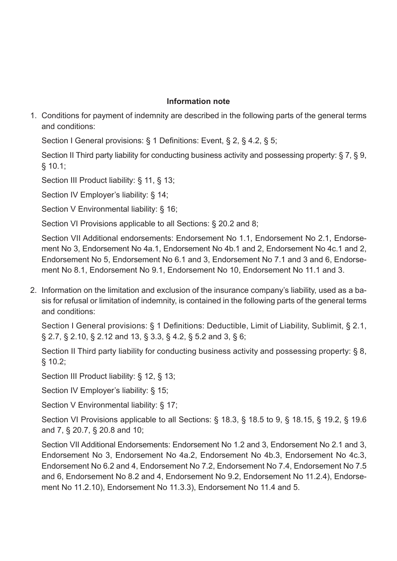## **Information note**

1. Conditions for payment of indemnity are described in the following parts of the general terms and conditions:

Section I General provisions: § 1 Definitions: Event, § 2, § 4.2, § 5;

Section II Third party liability for conducting business activity and possessing property: § 7, § 9, § 10.1;

Section III Product liability: § 11, § 13;

Section IV Employer's liability: § 14;

Section V Environmental liability: § 16:

Section VI Provisions applicable to all Sections: § 20.2 and 8;

Section VII Additional endorsements: Endorsement No 1.1, Endorsement No 2.1, Endorsement No 3, Endorsement No 4a.1, Endorsement No 4b.1 and 2, Endorsement No 4c.1 and 2, Endorsement No 5, Endorsement No 6.1 and 3, Endorsement No 7.1 and 3 and 6, Endorsement No 8.1, Endorsement No 9.1, Endorsement No 10, Endorsement No 11.1 and 3.

2. Information on the limitation and exclusion of the insurance company's liability, used as a basis for refusal or limitation of indemnity, is contained in the following parts of the general terms and conditions:

Section I General provisions: § 1 Definitions: Deductible, Limit of Liability, Sublimit, § 2.1, § 2.7, § 2.10, § 2.12 and 13, § 3.3, § 4.2, § 5.2 and 3, § 6;

Section II Third party liability for conducting business activity and possessing property: § 8, § 10.2;

Section III Product liability: § 12, § 13;

Section IV Employer's liability: § 15;

Section V Environmental liability: § 17;

Section VI Provisions applicable to all Sections: § 18.3, § 18.5 to 9, § 18.15, § 19.2, § 19.6 and 7, § 20.7, § 20.8 and 10;

Section VII Additional Endorsements: Endorsement No 1.2 and 3, Endorsement No 2.1 and 3, Endorsement No 3, Endorsement No 4a.2, Endorsement No 4b.3, Endorsement No 4c.3, Endorsement No 6.2 and 4, Endorsement No 7.2, Endorsement No 7.4, Endorsement No 7.5 and 6, Endorsement No 8.2 and 4, Endorsement No 9.2, Endorsement No 11.2.4), Endorsement No 11.2.10), Endorsement No 11.3.3), Endorsement No 11.4 and 5.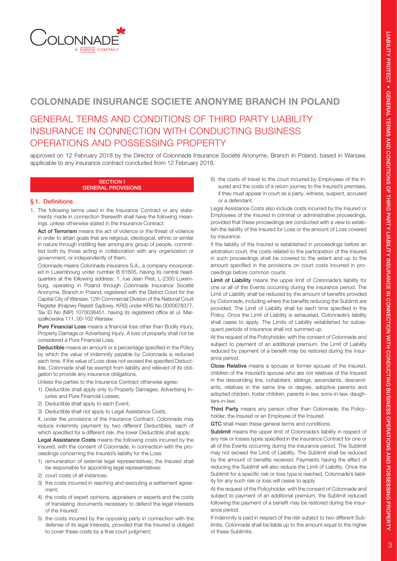

## COLONNADE INSURANCE SOCIETE ANONYME BRANCH IN POLAND

## GENERAL TERMS AND CONDITIONS OF THIRD PARTY LIABILITY INSURANCE IN CONNECTION WITH CONDUCTING BUSINESS OPERATIONS AND POSSESSING PROPERTY

approved on 12 February 2018 by the Director of Colonnade Insurance Société Anonyme, Branch in Poland, based in Warsaw, applicable to any insurance contract concluded from 12 February 2018.

#### SECTION I GENERAL PROVISIONS

## § 1. Definitions

1. The following terms used in the Insurance Contract or any statements made in connection therewith shall have the following meanings, unless otherwise stated in the Insurance Contract:

Act of Terrorism means the act of violence or the threat of violence in order to attain goals that are religious, ideological, ethnic or similar in nature through instilling fear among any group of people, committed both by those acting in collaboration with any organization or government, or independently of them.

Colonnade means Colonnade Insurance S.A., a company incorporated in Luxembourg under number B 61605, having its central headquarters at the following address: 1, rue Jean Piret, L-2350 Luxemburg, operating in Poland through Colonnade Insurance Société Anonyme, Branch in Poland, registered with the District Court for the Capital City of Warsaw, 12th Commercial Division of the National Court Register (Krajowy Rejestr Sądowy, KRS) under KRS No 0000678377, Tax ID No (NIP) 1070038451, having its registered office at ul. Marszałkowska 111, 00-102 Warsaw.

Pure Financial Loss means a financial loss other than Bodily Injury, Property Damage or Advertising Injury. A loss of property shall not be considered a Pure Financial Loss.

Deductible means an amount or a percentage specified in the Policy by which the value of indemnity payable by Colonnade is reduced each time. If the value of Loss does not exceed the specified Deductible, Colonnade shall be exempt from liability and relieved of its obligation to provide any insurance obligations.

Unless the parties to the Insurance Contract otherwise agree:

- 1) Deductible shall apply only to Property Damages, Advertising Injuries and Pure Financial Losses;
- 2) Deductible shall apply to each Event;
- 3) Deductible shall not apply to Legal Assistance Costs.

If, under the provisions of the Insurance Contract, Colonnade may reduce indemnity payment by two different Deductibles, each of which specified for a different risk, the lower Deductible shall apply.

Legal Assistance Costs means the following costs incurred by the Insured, with the consent of Colonnade, in connection with the proceedings concerning the Insured's liability for the Loss:

- 1) remuneration of external legal representatives; the Insured shall be responsible for appointing legal representatives;
- 2) court costs of all instances;
- 3) the costs incurred in reaching and executing a settlement agreement;
- 4) the costs of expert opinions, appraisers or experts and the costs of translating documents necessary to defend the legal interests of the Insured;
- 5) the costs incurred by the opposing party in connection with the defense of its legal interests, provided that the Insured is obliged to cover these costs by a final court judgment;

6) the costs of travel to the court incurred by Employees of the Insured and the costs of a return journey to the Insured's premises, if they must appear in court as a party, witness, suspect, accused or a defendant.

Legal Assistance Costs also include costs incurred by the Insured or Employees of the Insured in criminal or administrative proceedings, provided that these proceedings are conducted with a view to establish the liability of the Insured for Loss or the amount of Loss covered by insurance.

If the liability of the Insured is established in proceedings before an arbitration court, the costs related to the participation of the Insured in such proceedings shall be covered to the extent and up to the amount specified in the provisions on court costs incurred in proceedings before common courts.

Limit of Liability means the upper limit of Colonnade's liability for one or all of the Events occurring during the insurance period. The Limit of Liability shall be reduced by the amount of benefits provided by Colonnade, including where the benefits reducing the Sublimit are provided. The Limit of Liability shall be each time specified in the Policy. Once the Limit of Liability is exhausted, Colonnade's liability shall cease to apply. The Limits of Liability established for subsequent periods of insurance shall not summed up.

At the request of the Policyholder, with the consent of Colonnade and subject to payment of an additional premium, the Limit of Liability reduced by payment of a benefit may be restored during the insurance period.

Close Relative means a spouse or former spouse of the Insured, children of the Insured's spouse who are not relatives of the Insured in the descending line, cohabitant, siblings, ascendants, descendants, relatives in the same line or degree, adoptive parents and adopted children, foster children, parents in law, sons-in-law, daughters-in-law.

Third Party means any person other than Colonnade, the Policyholder, the Insured or an Employee of the Insured.

GTC shall mean these general terms and conditions.

Sublimit means the upper limit of Colonnade's liability in respect of any risk or losses types specified in the Insurance Contract for one or all of the Events occurring during the insurance period. The Sublimit may not exceed the Limit of Liability. The Sublimit shall be reduced by the amount of benefits received. Payments having the effect of reducing the Sublimit will also reduce the Limit of Liability. Once the Sublimit for a specific risk or loss type is reached, Colonnade's liability for any such risk or loss will cease to apply.

At the request of the Policyholder, with the consent of Colonnade and subject to payment of an additional premium, the Sublimit reduced following the payment of a benefit may be restored during the insurance period.

If indemnity is paid in respect of the risk subject to two different Sublimits, Colonnade shall be liable up to the amount equal to the higher of these Sublimits.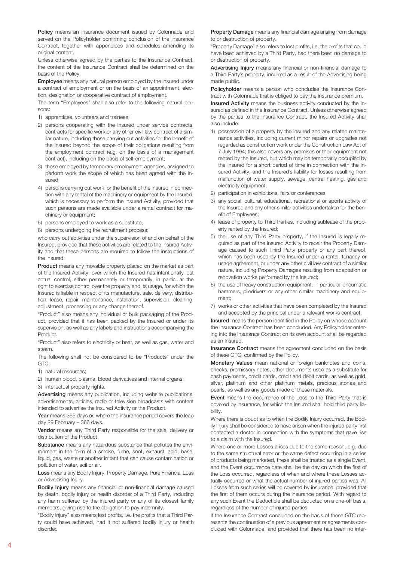Policy means an insurance document issued by Colonnade and served on the Policyholder confirming conclusion of the Insurance Contract, together with appendices and schedules amending its original content.

Unless otherwise agreed by the parties to the Insurance Contract, the content of the Insurance Contract shall be determined on the basis of the Policy.

Employee means any natural person employed by the Insured under a contract of employment or on the basis of an appointment, election, designation or cooperative contract of employment.

The term "Employees" shall also refer to the following natural persons:

- 1) apprentices, volunteers and trainees;
- 2) persons cooperating with the Insured under service contracts, contracts for specific work or any other civil law contract of a similar nature, including those carrying out activities for the benefit of the Insured beyond the scope of their obligations resulting from the employment contract (e.g. on the basis of a management contract), including on the basis of self-employment;
- 3) those employed by temporary employment agencies, assigned to perform work the scope of which has been agreed with the Insured;
- 4) persons carrying out work for the benefit of the Insured in connection with any rental of the machinery or equipment by the Insured, which is necessary to perform the Insured Activity, provided that such persons are made available under a rental contract for machinery or equipment;
- 5) persons employed to work as a substitute;
- 6) persons undergoing the recruitment process;

who carry out activities under the supervision of and on behalf of the Insured, provided that these activities are related to the Insured Activity and that these persons are required to follow the instructions of the Insured.

Product means any movable property placed on the market as part of the Insured Activity, over which the Insured has intentionally lost actual control, either permanently or temporarily, in particular the right to exercise control over the property and its usage, for which the Insured is liable in respect of its manufacture, sale, delivery, distribution, lease, repair, maintenance, installation, supervision, cleaning, adjustment, processing or any change thereof.

"Product" also means any individual or bulk packaging of the Product, provided that it has been packed by the Insured or under its supervision, as well as any labels and instructions accompanying the Product.

"Product" also refers to electricity or heat, as well as gas, water and steam.

The following shall not be considered to be "Products" under the GTC:

1) natural resources;

2) human blood, plasma, blood derivatives and internal organs;

3) intellectual property rights.

Advertising means any publication, including website publications, advertisements, articles, radio or television broadcasts with content intended to advertise the Insured Activity or the Product.

Year means 365 days or, where the insurance period covers the leap day 29 February – 366 days.

Vendor means any Third Party responsible for the sale, delivery or distribution of the Product.

Substance means any hazardous substance that pollutes the environment in the form of a smoke, fume, soot, exhaust, acid, base, liquid, gas, waste or another irritant that can cause contamination or pollution of water, soil or air.

Loss means any Bodily Injury, Property Damage, Pure Financial Loss or Advertising Injury.

Bodily Injury means any financial or non-financial damage caused by death, bodily injury or health disorder of a Third Party, including any harm suffered by the injured party or any of its closest family members, giving rise to the obligation to pay indemnity.

"Bodily Injury" also means lost profits, i.e. the profits that a Third Party could have achieved, had it not suffered bodily injury or health disorder.

Property Damage means any financial damage arising from damage to or destruction of property.

"Property Damage" also refers to lost profits, i.e. the profits that could have been achieved by a Third Party, had there been no damage to or destruction of property.

Advertising Injury means any financial or non-financial damage to a Third Party's property, incurred as a result of the Advertising being made public.

Policyholder means a person who concludes the Insurance Contract with Colonnade that is obliged to pay the insurance premium.

Insured Activity means the business activity conducted by the Insured as defined in the Insurance Contract. Unless otherwise agreed by the parties to the Insurance Contract, the Insured Activity shall also include:

- 1) possession of a property by the Insured and any related maintenance activities, including current minor repairs or upgrades not regarded as construction work under the Construction Law Act of 7 July 1994; this also covers any premises or their equipment not rented by the Insured, but which may be temporarily occupied by the Insured for a short period of time in connection with the Insured Activity, and the Insured's liability for losses resulting from malfunction of water supply, sewage, central heating, gas and electricity equipment;
- 2) participation in exhibitions, fairs or conferences;
- 3) any social, cultural, educational, recreational or sports activity of the Insured and any other similar activities undertaken for the benefit of Employees;
- 4) lease of property to Third Parties, including sublease of the property rented by the Insured;
- 5) the use of any Third Party property, if the Insured is legally required as part of the Insured Activity to repair the Property Damage caused to such Third Party property or any part thereof, which has been used by the Insured under a rental, tenancy or usage agreement, or under any other civil law contract of a similar nature, including Property Damages resulting from adaptation or renovation works performed by the Insured;
- 6) the use of heavy construction equipment, in particular pneumatic hammers, piledrivers or any other similar machinery and equipment;
- 7) works or other activities that have been completed by the Insured and accepted by the principal under a relevant works contract.

Insured means the person identified in the Policy on whose account the Insurance Contract has been concluded. Any Policyholder entering into the Insurance Contract on its own account shall be regarded as an Insured.

Insurance Contract means the agreement concluded on the basis of these GTC, confirmed by the Policy.

Monetary Values mean national or foreign banknotes and coins, checks, promissory notes, other documents used as a substitute for cash payments, credit cards, credit and debit cards, as well as gold, silver, platinum and other platinum metals, precious stones and pearls, as well as any goods made of these materials.

Event means the occurrence of the Loss to the Third Party that is covered by insurance, for which the Insured shall hold third party liability.

Where there is doubt as to when the Bodily Injury occurred, the Bodily Injury shall be considered to have arisen when the injured party first contacted a doctor in connection with the symptoms that gave rise to a claim with the Insured.

Where one or more Losses arises due to the same reason, e.g. due to the same structural error or the same defect occurring in a series of products being marketed, these shall be treated as a single Event, and the Event occurrence date shall be the day on which the first of the Loss occurred, regardless of when and where these Losses actually occurred or what the actual number of injured parties was. All Losses from such series will be covered by insurance, provided that the first of them occurs during the insurance period. With regard to any such Event the Deductible shall be deducted on a one-off basis, regardless of the number of injured parties.

If the Insurance Contract concluded on the basis of these GTC represents the continuation of a previous agreement or agreements concluded with Colonnade, and provided that there has been no inter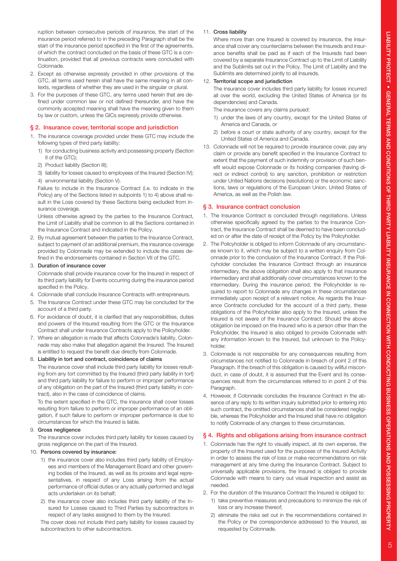ruption between consecutive periods of insurance, the start of the insurance period referred to in the preceding Paragraph shall be the start of the insurance period specified in the first of the agreements, of which the contract concluded on the basis of these GTC is a continuation, provided that all previous contracts were concluded with Colonnade.

- 2. Except as otherwise expressly provided in other provisions of the GTC, all terms used herein shall have the same meaning in all contexts, regardless of whether they are used in the singular or plural.
- 3. For the purposes of these GTC, any terms used herein that are defined under common law or not defined thereunder, and have the commonly accepted meaning shall have the meaning given to them by law or custom, unless the GICs expressly provide otherwise.

#### § 2. Insurance cover, territorial scope and jurisdiction

- 1. The insurance coverage provided under these GTC may include the following types of third party liability:
	- 1) for conducting business activity and possessing property (Section II of the GTC);
	- 2) Product liability (Section III);
	- 3) liability for losses caused to employees of the Insured (Section IV);
	- 4) environmental liability (Section V).

Failure to include in the Insurance Contract (i.e. to indicate in the Policy) any of the Sections listed in subpoints 1) to 4) above shall result in the Loss covered by these Sections being excluded from insurance coverage.

Unless otherwise agreed by the parties to the Insurance Contract, the Limit of Liability shall be common to all the Sections contained in the Insurance Contract and indicated in the Policy.

2. By mutual agreement between the parties to the Insurance Contract, subject to payment of an additional premium, the insurance coverage provided by Colonnade may be extended to include the cases defined in the endorsements contained in Section VII of the GTC.

## 3. Duration of insurance cover

Colonnade shall provide insurance cover for the Insured in respect of its third party liability for Events occurring during the insurance period specified in the Policy.

- 4. Colonnade shall conclude Insurance Contracts with entrepreneurs.
- 5. The Insurance Contract under these GTC may be concluded for the account of a third party.
- 6. For avoidance of doubt, it is clarified that any responsibilities, duties and powers of the Insured resulting from the GTC or the Insurance Contract shall under Insurance Contracts apply to the Policyholder.
- 7. Where an allegation is made that affects Colonnade's liability, Colonnade may also make that allegation against the Insured. The Insured is entitled to request the benefit due directly from Colonnade.

#### 8. Liability in tort and contract, coincidence of claims

The insurance cover shall include third party liability for losses resulting from any tort committed by the Insured (third party liability in tort) and third party liability for failure to perform or improper performance of any obligation on the part of the Insured (third party liability in contract), also in the case of coincidence of claims.

To the extent specified in the GTC, the insurance shall cover losses resulting from failure to perform or improper performance of an obligation, if such failure to perform or improper performance is due to circumstances for which the Insured is liable.

#### 9. Gross negligence

The insurance cover includes third party liability for losses caused by gross negligence on the part of the Insured.

#### 10. Persons covered by insurance:

- 1) the insurance cover also includes third party liability of Employees and members of the Management Board and other governing bodies of the Insured, as well as its proxies and legal representatives, in respect of any Loss arising from the actual performance of official duties or any actually performed and legal acts undertaken on its behalf;
- 2) the insurance cover also includes third party liability of the Insured for Losses caused to Third Parties by subcontractors in respect of any tasks assigned to them by the Insured.

The cover does not include third party liability for losses caused by subcontractors to other subcontractors.

## 11. Cross liability

Where more than one Insured is covered by insurance, the insurance shall cover any counterclaims between the Insureds and insurance benefits shall be paid as if each of the Insureds had been covered by a separate Insurance Contract up to the Limit of Liability and the Sublimits set out in the Policy. The Limit of Liability and the Sublimits are determined jointly to all Insureds.

#### 12. Territorial scope and jurisdiction

The insurance cover includes third party liability for losses incurred all over the world, excluding the United States of America (or its dependencies) and Canada.

The insurance covers any claims pursued:

- 1) under the laws of any country, except for the United States of America and Canada, or
- 2) before a court or state authority of any country, except for the United States of America and Canada.
- 13. Colonnade will not be required to provide insurance cover, pay any claim or provide any benefit specified in the Insurance Contract to extent that the payment of such indemnity or provision of such benefit would expose Colonnade or its holding companies (having direct or indirect control) to any sanction, prohibition or restriction under United Nations decisions (resolutions) or the economic sanctions, laws or regulations of the European Union, United States of America, as well as the Polish law.

#### § 3. Insurance contract conclusion

- 1. The Insurance Contract is concluded through negotiations. Unless otherwise specifically agreed by the parties to the Insurance Contract, the Insurance Contract shall be deemed to have been concluded on or after the date of receipt of the Policy by the Policyholder.
- 2. The Policyholder is obliged to inform Colonnade of any circumstances known to it, which may be subject to a written enquiry from Colonnade prior to the conclusion of the Insurance Contract. If the Policyholder concludes the Insurance Contract through an insurance intermediary, the above obligation shall also apply to that insurance intermediary and shall additionally cover circumstances known to the intermediary. During the insurance period, the Policyholder is required to report to Colonnade any changes in these circumstances immediately upon receipt of a relevant notice. As regards the Insurance Contracts concluded for the account of a third party, these obligations of the Policyholder also apply to the Insured, unless the Insured is not aware of the Insurance Contract. Should the above obligation be imposed on the Insured who is a person other than the Policyholder, the Insured is also obliged to provide Colonnade with any information known to the Insured, but unknown to the Policyholder.
- 3. Colonnade is not responsible for any consequences resulting from circumstances not notified to Colonnade in breach of point 2 of this Paragraph. If the breach of this obligation is caused by willful misconduct, in case of doubt, it is assumed that the Event and its consequences result from the circumstances referred to in point 2 of this Paragraph.
- 4. However, if Colonnade concludes the Insurance Contract in the absence of any reply to its written inquiry submitted prior to entering into such contract, the omitted circumstances shall be considered negligible, whereas the Policyholder and the Insured shall have no obligation to notify Colonnade of any changes to these circumstances.

### § 4. Rights and obligations arising from insurance contract

- 1. Colonnade has the right to visually inspect, at its own expense, the property of the Insured used for the purposes of the Insured Activity in order to assess the risk of loss or make recommendations on risk management at any time during the Insurance Contract. Subject to universally applicable provisions, the Insured is obliged to provide Colonnade with means to carry out visual inspection and assist as needed.
- 2. For the duration of the Insurance Contract the Insured is obliged to: 1) take preventive measures and precautions to minimize the risk of loss or any increase thereof;
	- 2) eliminate the risks set out in the recommendations contained in the Policy or the correspondence addressed to the Insured, as requested by Colonnade.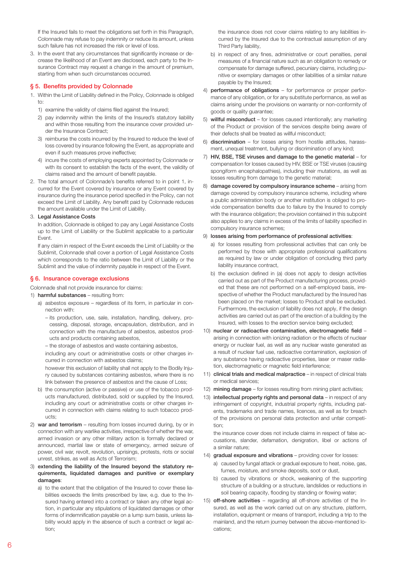If the Insured fails to meet the obligations set forth in this Paragraph, Colonnade may refuse to pay indemnity or reduce its amount, unless such failure has not increased the risk or level of loss.

3. In the event that any circumstances that significantly increase or decrease the likelihood of an Event are disclosed, each party to the Insurance Contract may request a change in the amount of premium, starting from when such circumstances occurred.

## § 5. Benefits provided by Colonnade

- 1. Within the Limit of Liability defined in the Policy, Colonnade is obliged to:
	- 1) examine the validity of claims filed against the Insured;
	- 2) pay indemnity within the limits of the Insured's statutory liability and within those resulting from the insurance cover provided under the Insurance Contract;
	- 3) reimburse the costs incurred by the Insured to reduce the level of loss covered by insurance following the Event, as appropriate and even if such measures prove ineffective;
	- 4) incure the costs of employing experts appointed by Colonnade or with its consent to establish the facts of the event, the validity of claims raised and the amount of benefit payable.
- 2. The total amount of Colonnade's benefits referred to in point 1, incurred for the Event covered by insurance or any Event covered by insurance during the insurance period specified in the Policy, can not exceed the Limit of Liability. Any benefit paid by Colonnade reduces the amount available under the Limit of Liability.

#### 3. Legal Assistance Costs

In addition, Colonnade is obliged to pay any Legal Assistance Costs up to the Limit of Liability or the Sublimit applicable to a particular Event.

If any claim in respect of the Event exceeds the Limit of Liability or the Sublimit, Colonnade shall cover a portion of Legal Assistance Costs which corresponds to the ratio between the Limit of Liability or the Sublimit and the value of indemnity payable in respect of the Event.

## § 6. Insurance coverage exclusions

Colonnade shall not provide insurance for claims:

- 1) harmful substances resulting from:
	- a) asbestos exposure regardless of its form, in particular in connection with:
		- its production, use, sale, installation, handling, delivery, processing, disposal, storage, encapsulation, distribution, and in connection with the manufacture of asbestos, asbestos products and products containing asbestos,
		- the storage of asbestos and waste containing asbestos,

 including any court or administrative costs or other charges incurred in connection with asbestos claims;

 however this exclusion of liability shall not apply to the Bodily Injury caused by substances containing asbestos, where there is no link between the presence of asbestos and the cause of Loss;

- b) the consumption (active or passive) or use of the tobacco products manufactured, distributed, sold or supplied by the Insured, including any court or administrative costs or other charges incurred in connection with claims relating to such tobacco products;
- 2) war and terrorism resulting from losses incurred during, by or in connection with any warlike activities, irrespective of whether the war, armed invasion or any other military action is formally declared or announced, martial law or state of emergency, armed seizure of power, civil war, revolt, revolution, uprisings, protests, riots or social unrest, strikes, as well as Acts of Terrorism;
- 3) extending the liability of the Insured beyond the statutory requirements, liquidated damages and punitive or exemplary damages:
	- a) to the extent that the obligation of the Insured to cover these liabilities exceeds the limits prescribed by law, e.g. due to the Insured having entered into a contract or taken any other legal action, in particular any stipulations of liquidated damages or other forms of indemnification payable on a lump sum basis, unless liability would apply in the absence of such a contract or legal action;

 the insurance does not cover claims relating to any liabilities incurred by the Insured due to the contractual assumption of any Third Party liability,

- b) in respect of any fines, administrative or court penalties, penal measures of a financial nature such as an obligation to remedy or compensate for damage suffered, pecuniary claims, including punitive or exemplary damages or other liabilities of a similar nature payable by the Insured;
- 4) performance of obligations for performance or proper performance of any obligation, or for any substitute performance, as well as claims arising under the provisions on warranty or non-conformity of goods or quality guarantee;
- 5) willful misconduct for losses caused intentionally; any marketing of the Product or provision of the services despite being aware of their defects shall be treated as willful misconduct;
- 6) discrimination for losses arising from hostile attitudes, harassment, unequal treatment, bullying or discrimination of any kind;
- 7) HIV, BSE, TSE viruses and damage to the genetic material for compensation for losses caused by HIV, BSE or TSE viruses (causing spongiform encephalopathies), including their mutations, as well as losses resulting from damage to the genetic material;
- 8) damage covered by compulsory insurance scheme arising from damage covered by compulsory insurance scheme, including where a public administration body or another institution is obliged to provide compensation benefits due to failure by the Insured to comply with the insurance obligation; the provision contained in this subpoint also applies to any claims in excess of the limits of liability specified in compulsory insurance schemes;

### 9) losses arising from performance of professional activities:

- a) for losses resulting from professional activities that can only be performed by those with appropriate professional qualifications as required by law or under obligation of concluding third party liability insurance contract,
- b) the exclusion defined in (a) does not apply to design activities carried out as part of the Product manufacturing process, provided that these are not performed on a self-employed basis, irrespective of whether the Product manufactured by the Insured has been placed on the market; losses to Product shall be excluded. Furthermore, the exclusion of liability does not apply, if the design activities are carried out as part of the erection of a building by the Insured, with losses to the erection service being excluded;
- 10) nuclear or radioactive contamination, electromagnetic field arising in connection with ionizing radiation or the effects of nuclear energy or nuclear fuel, as well as any nuclear waste generated as a result of nuclear fuel use, radioactive contamination, explosion of any substance having radioactive properties, laser or maser radiation, electromagnetic or magnetic field interference;
- 11) clinical trials and medical malpractice in respect of clinical trials or medical services;
- 12) mining damage for losses resulting from mining plant activities;
- 13) intellectual property rights and personal data in respect of any infringement of copyright, industrial property rights, including patents, trademarks and trade names, licences, as well as for breach of the provisions on personal data protection and unfair competition;

the insurance cover does not include claims in respect of false accusations, slander, defamation, denigration, libel or actions of a similar nature;

14) gradual exposure and vibrations - providing cover for losses:

- a) caused by fungal attack or gradual exposure to heat, noise, gas, fumes, moisture, and smoke deposits, soot or dust,
- b) caused by vibrations or shock, weakening of the supporting structure of a building or a structure, landslides or reductions in soil bearing capacity, flooding by standing or flowing water;
- 15) off-shore activities regarding all off-shore activities of the Insured, as well as the work carried out on any structure, platform, installation, equipment or means of transport, including a trip to the mainland, and the return journey between the above-mentioned locations;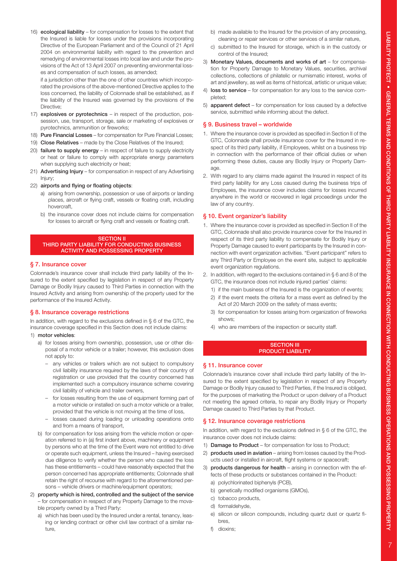16) ecological liability – for compensation for losses to the extent that the Insured is liable for losses under the provisions incorporating Directive of the European Parliament and of the Council of 21 April 2004 on environmental liability with regard to the prevention and remedying of environmental losses into local law and under the provisions of the Act of 13 April 2007 on preventing environmental losses and compensation of such losses, as amended;

if a jurisdiction other than the one of other countries which incorporated the provisions of the above-mentioned Directive applies to the loss concerned, the liability of Colonnade shall be established, as if the liability of the Insured was governed by the provisions of the Directive;

- 17) explosives or pyrotechnics in respect of the production, possession, use, transport, storage, sale or marketing of explosives or pyrotechnics, ammunition or fireworks;
- 18) **Pure Financial Losses** for compensation for Pure Financial Losses:
- 19) Close Relatives made by the Close Relatives of the Insured;
- 20) failure to supply energy in respect of failure to supply electricity or heat or failure to comply with appropriate energy parameters when supplying such electricity or heat;
- 21) Advertising Injury for compensation in respect of any Advertising Injury;
- 22) airports and flying or floating objects:
	- a) arising from ownership, possession or use of airports or landing places, aircraft or flying craft, vessels or floating craft, including hovercraft,
	- b) the insurance cover does not include claims for compensation for losses to aircraft or flying craft and vessels or floating craft.

#### **SECTION II**

#### THIRD PARTY LIABILITY FOR CONDUCTING BUSINESS ACTIVITY AND POSSESSING PROPERTY

#### § 7. Insurance cover

Colonnade's insurance cover shall include third party liability of the Insured to the extent specified by legislation in respect of any Property Damage or Bodily Injury caused to Third Parties in connection with the Insured Activity and arising from ownership of the property used for the performance of the Insured Activity.

#### § 8. Insurance coverage restrictions

In addition, with regard to the exclusions defined in § 6 of the GTC, the insurance coverage specified in this Section does not include claims:

#### 1) motor vehicles:

- a) for losses arising from ownership, possession, use or other disposal of a motor vehicle or a trailer; however, this exclusion does not apply to:
	- any vehicles or trailers which are not subject to compulsory civil liability insurance required by the laws of their country of registration or use provided that the country concerned has implemented such a compulsory insurance scheme covering civil liability of vehicle and trailer owners,
	- for losses resulting from the use of equipment forming part of a motor vehicle or installed on such a motor vehicle or a trailer, provided that the vehicle is not moving at the time of loss,
	- losses caused during loading or unloading operations onto and from a means of transport,
- b) for compensation for loss arising from the vehicle motion or operation referred to in (a) first indent above, machinery or equipment by persons who at the time of the Event were not entitled to drive or operate such equipment, unless the Insured – having exercised due diligence to verify whether the person who caused the loss has these entitlements – could have reasonably expected that the person concerned has appropriate entitlements; Colonnade shall retain the right of recourse with regard to the aforementioned persons – vehicle drivers or machine/equipment operators;
- 2) property which is hired, controlled and the subject of the service – for compensation in respect of any Property Damage to the movable property owned by a Third Party:
	- a) which has been used by the Insured under a rental, tenancy, leasing or lending contract or other civil law contract of a similar nature,
- b) made available to the Insured for the provision of any processing, cleaning or repair services or other services of a similar nature,
- c) submitted to the Insured for storage, which is in the custody or control of the Insured;
- 3) Monetary Values, documents and works of art for compensation for Property Damage to Monetary Values, securities, archival collections, collections of philatelic or numismatic interest, works of art and jewellery, as well as items of historical, artistic or unique value;
- 4) loss to service for compensation for any loss to the service completed;
- 5) apparent defect for compensation for loss caused by a defective service, submitted while informing about the defect.

#### § 9. Business travel – worldwide

- 1. Where the insurance cover is provided as specified in Section II of the GTC, Colonnade shall provide insurance cover for the Insured in respect of its third party liability, if Employees, whilst on a business trip in connection with the performance of their official duties or when performing these duties, cause any Bodily Injury or Property Damage.
- 2. With regard to any claims made against the Insured in respect of its third party liability for any Loss caused during the business trips of Employees, the insurance cover includes claims for losses incurred anywhere in the world or recovered in legal proceedings under the law of any country.

#### § 10. Event organizer's liability

- 1. Where the insurance cover is provided as specified in Section II of the GTC, Colonnade shall also provide insurance cover for the Insured in respect of its third party liability to compensate for Bodily Injury or Property Damage caused to event participants by the Insured in connection with event organization activities. "Event participant" refers to any Third Party or Employee on the event site, subject to applicable event organization regulations.
- 2. In addition, with regard to the exclusions contained in § 6 and 8 of the GTC, the insurance does not include injured parties' claims:
	- 1) if the main business of the Insured is the organization of events;
	- 2) if the event meets the criteria for a mass event as defined by the Act of 20 March 2009 on the safety of mass events;
	- 3) for compensation for losses arising from organization of fireworks shows;
	- 4) who are members of the inspection or security staff.

#### **SECTION III** PRODUCT LIABILITY

#### § 11. Insurance cover

Colonnade's insurance cover shall include third party liability of the Insured to the extent specified by legislation in respect of any Property Damage or Bodily Injury caused to Third Parties, if the Insured is obliged, for the purposes of marketing the Product or upon delivery of a Product not meeting the agreed criteria, to repair any Bodily Injury or Property Damage caused to Third Parties by that Product.

#### § 12. Insurance coverage restrictions

In addition, with regard to the exclusions defined in § 6 of the GTC, the insurance cover does not include claims:

- 1) Damage to Product for compensation for loss to Product;
- 2) products used in aviation arising from losses caused by the Products used or installed in aircraft, flight systems or spacecraft;
- 3) products dangerous for health arising in connection with the effects of these products or substances contained in the Product:
	- a) polychlorinated biphenyls (PCB),
	- b) genetically modified organisms (GMOs),
	- c) tobacco products,
	- d) formaldehyde,
	- e) silicon or silicon compounds, including quartz dust or quartz fibres,
	- f) dioxins;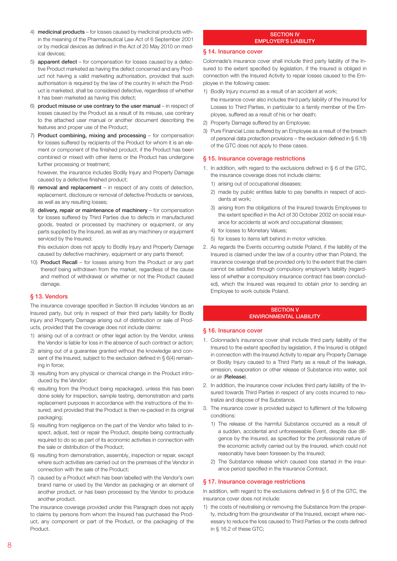- 4) medicinal products for losses caused by medicinal products within the meaning of the Pharmaceutical Law Act of 6 September 2001 or by medical devices as defined in the Act of 20 May 2010 on medical devices;
- 5) apparent defect for compensation for losses caused by a defective Product marketed as having the defect concerned and any Product not having a valid marketing authorisation, provided that such authorisation is required by the law of the country in which the Product is marketed, shall be considered defective, regardless of whether it has been marketed as having this defect;
- 6) product misuse or use contrary to the user manual in respect of losses caused by the Product as a result of its misuse, use contrary to the attached user manual or another document describing the features and proper use of the Product;
- 7) Product combining, mixing and processing for compensation for losses suffered by recipients of the Product for whom it is an element or component of the finished product, if the Product has been combined or mixed with other items or the Product has undergone further processing or treatment;

however, the insurance includes Bodily Injury and Property Damage caused by a defective finished product;

- 8) removal and replacement in respect of any costs of detection, replacement, disclosure or removal of defective Products or services, as well as any resulting losses;
- 9) delivery, repair or maintenance of machinery for compensation for losses suffered by Third Parties due to defects in manufactured goods, treated or processed by machinery or equipment, or any parts supplied by the Insured, as well as any machinery or equipment serviced by the Insured;

 this exclusion does not apply to Bodily Injury and Property Damage caused by defective machinery, equipment or any parts thereof;

10) Product Recall – for losses arising from the Product or any part thereof being withdrawn from the market, regardless of the cause and method of withdrawal or whether or not the Product caused damage.

## § 13. Vendors

The insurance coverage specified in Section III includes Vendors as an Insured party, but only in respect of their third party liability for Bodily Injury and Property Damage arising out of distribution or sale of Products, provided that the coverage does not include claims:

- 1) arising out of a contract or other legal action by the Vendor, unless the Vendor is liable for loss in the absence of such contract or action;
- 2) arising out of a guarantee granted without the knowledge and consent of the Insured, subject to the exclusion defined in § 6(4) remaining in force;
- 3) resulting from any physical or chemical change in the Product introduced by the Vendor;
- 4) resulting from the Product being repackaged, unless this has been done solely for inspection, sample testing, demonstration and parts replacement purposes in accordance with the instructions of the Insured, and provided that the Product is then re-packed in its original packaging;
- 5) resulting from negligence on the part of the Vendor who failed to inspect, adjust, test or repair the Product, despite being contractually required to do so as part of its economic activities in connection with the sale or distribution of the Product;
- 6) resulting from demonstration, assembly, inspection or repair, except where such activities are carried out on the premises of the Vendor in connection with the sale of the Product;
- 7) caused by a Product which has been labelled with the Vendor's own brand name or used by the Vendor as packaging or an element of another product, or has been processed by the Vendor to produce another product.

The insurance coverage provided under this Paragraph does not apply to claims by persons from whom the Insured has purchased the Product, any component or part of the Product, or the packaging of the Product.

#### SECTION IV EMPLOYER'S LIABILITY

## § 14. Insurance cover

Colonnade's insurance cover shall include third party liability of the Insured to the extent specified by legislation, if the Insured is obliged in connection with the Insured Activity to repair losses caused to the Employee in the following cases:

- 1) Bodily Injury incurred as a result of an accident at work;
- the insurance cover also includes third party liability of the Insured for Losses to Third Parties, in particular to a family member of the Employee, suffered as a result of his or her death;
- 2) Property Damage suffered by an Employee;
- 3) Pure Financial Loss suffered by an Employee as a result of the breach of personal data protection provisions – the exclusion defined in § 6.18) of the GTC does not apply to these cases.

## § 15. Insurance coverage restrictions

- 1. In addition, with regard to the exclusions defined in § 6 of the GTC, the insurance coverage does not include claims:
	- 1) arising out of occupational diseases;
	- 2) made by public entities liable to pay benefits in respect of accidents at work;
	- 3) arising from the obligations of the Insured towards Employees to the extent specified in the Act of 30 October 2002 on social insurance for accidents at work and occupational diseases;
	- 4) for losses to Monetary Values;
	- 5) for losses to items left behind in motor vehicles.
- 2. As regards the Events occurring outside Poland, if the liability of the Insured is claimed under the law of a country other than Poland, the insurance coverage shall be provided only to the extent that the claim cannot be satisfied through compulsory employer's liability (regardless of whether a compulsory insurance contract has been concluded), which the Insured was required to obtain prior to sending an Employee to work outside Poland.

#### SECTION V ENVIRONMENTAL LIABILITY

### § 16. Insurance cover

- 1. Colonnade's insurance cover shall include third party liability of the Insured to the extent specified by legislation, if the Insured is obliged in connection with the Insured Activity to repair any Property Damage or Bodily Injury caused to a Third Party as a result of the leakage, emission, evaporation or other release of Substance into water, soil or air (Release).
- 2. In addition, the insurance cover includes third party liability of the Insured towards Third Parties in respect of any costs incurred to neutralize and dispose of the Substance.
- 3. The insurance cover is provided subject to fulfilment of the following conditions:
	- 1) The release of the harmful Substance occurred as a result of a sudden, accidental and unforeseeable Event, despite due diligence by the Insured, as specified for the professional nature of the economic activity carried out by the Insured, which could not reasonably have been foreseen by the Insured;
	- 2) The Substance release which caused loss started in the insurance period specified in the Insurance Contract.

#### § 17. Insurance coverage restrictions

In addition, with regard to the exclusions defined in § 6 of the GTC, the insurance cover does not include:

1) the costs of neutralising or removing the Substance from the property, including from the groundwater of the Insured, except where necessary to reduce the loss caused to Third Parties or the costs defined in § 16.2 of these GTC;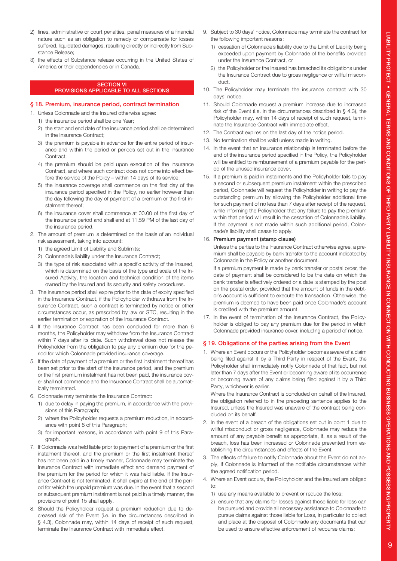- 2) fines, administrative or court penalties, penal measures of a financial nature such as an obligation to remedy or compensate for losses suffered, liquidated damages, resulting directly or indirectly from Substance Release;
- 3) the effects of Substance release occurring in the United States of America or their dependencies or in Canada.

#### SECTION VI PROVISIONS APPLICABLE TO ALL SECTIONS

#### § 18. Premium, insurance period, contract termination

- 1. Unless Colonnade and the Insured otherwise agree:
	- 1) the insurance period shall be one Year;
	- 2) the start and end date of the insurance period shall be determined in the Insurance Contract;
	- 3) the premium is payable in advance for the entire period of insurance and within the period or periods set out in the Insurance Contract;
	- 4) the premium should be paid upon execution of the Insurance Contract, and where such contract does not come into effect before the service of the Policy – within 14 days of its service;
	- 5) the insurance coverage shall commence on the first day of the insurance period specified in the Policy, no earlier however than the day following the day of payment of a premium or the first instalment thereof;
	- 6) the insurance cover shall commence at 00.00 of the first day of the insurance period and shall end at 11.59 PM of the last day of the insurance period.
- 2. The amount of premium is determined on the basis of an individual risk assessment, taking into account:
	- 1) the agreed Limit of Liability and Sublimits;
	- 2) Colonnade's liability under the Insurance Contract;
	- 3) the type of risk associated with a specific activity of the Insured, which is determined on the basis of the type and scale of the Insured Activity, the location and technical condition of the items owned by the Insured and its security and safety procedures.
- 3. The insurance period shall expire prior to the date of expiry specified in the Insurance Contract, if the Policyholder withdraws from the Insurance Contract, such a contract is terminated by notice or other circumstances occur, as prescribed by law or GTC, resulting in the earlier termination or expiration of the Insurance Contract.
- 4. If the Insurance Contract has been concluded for more than 6 months, the Policyholder may withdraw from the Insurance Contract within 7 days after its date. Such withdrawal does not release the Policyholder from the obligation to pay any premium due for the period for which Colonnade provided insurance coverage.
- 5. If the date of payment of a premium or the first instalment thereof has been set prior to the start of the insurance period, and the premium or the first premium instalment has not been paid, the insurance cover shall not commence and the Insurance Contract shall be automatically terminated.
- 6. Colonnade may terminate the Insurance Contract:
	- 1) due to delay in paying the premium, in accordance with the provisions of this Paragraph;
	- 2) where the Policyholder requests a premium reduction, in accordance with point 8 of this Paragraph;
	- 3) for important reasons, in accordance with point 9 of this Paragraph.
- 7. If Colonnade was held liable prior to payment of a premium or the first instalment thereof, and the premium or the first instalment thereof has not been paid in a timely manner, Colonnade may terminate the Insurance Contract with immediate effect and demand payment of the premium for the period for which it was held liable. If the Insurance Contract is not terminated, it shall expire at the end of the period for which the unpaid premium was due. In the event that a second or subsequent premium instalment is not paid in a timely manner, the provisions of point 15 shall apply.
- 8. Should the Policyholder request a premium reduction due to decreased risk of the Event (i.e. in the circumstances described in § 4.3), Colonnade may, within 14 days of receipt of such request, terminate the Insurance Contract with immediate effect.
- 9. Subject to 30 days' notice, Colonnade may terminate the contract for the following important reasons:
	- 1) cessation of Colonnade's liability due to the Limit of Liability being exceeded upon payment by Colonnade of the benefits provided under the Insurance Contract, or
	- 2) the Policyholder or the Insured has breached its obligations under the Insurance Contract due to gross negligence or willful misconduct.
- 10. The Policyholder may terminate the insurance contract with 30 days' notice.
- 11. Should Colonnade request a premium increase due to increased risk of the Event (i.e. in the circumstances described in § 4.3), the Policyholder may, within 14 days of receipt of such request, terminate the Insurance Contract with immediate effect.
- 12. The Contract expires on the last day of the notice period.
- 13. No termination shall be valid unless made in writing.
- 14. In the event that an insurance relationship is terminated before the end of the insurance period specified in the Policy, the Policyholder will be entitled to reimbursement of a premium payable for the period of the unused insurance cover.
- 15. If a premium is paid in instalments and the Policyholder fails to pay a second or subsequent premium instalment within the prescribed period, Colonnade will request the Policyholder in writing to pay the outstanding premium by allowing the Policyholder additional time for such payment of no less than 7 days after receipt of the request, while informing the Policyholder that any failure to pay the premium within that period will result in the cessation of Colonnade's liability. If the payment is not made within such additional period, Colonnade's liability shall cease to apply.

#### 16. Premium payment (stamp clause)

Unless the parties to the Insurance Contract otherwise agree, a premium shall be payable by bank transfer to the account indicated by Colonnade in the Policy or another document.

If a premium payment is made by bank transfer or postal order, the date of payment shall be considered to be the date on which the bank transfer is effectively ordered or a date is stamped by the post on the postal order, provided that the amount of funds in the debtor's account is sufficient to execute the transaction. Otherwise, the premium is deemed to have been paid once Colonnade's account is credited with the premium amount.

17. In the event of termination of the Insurance Contract, the Policyholder is obliged to pay any premium due for the period in which Colonnade provided insurance cover, including a period of notice.

## § 19. Obligations of the parties arising from the Event

1. Where an Event occurs or the Policyholder becomes aware of a claim being filed against it by a Third Party in respect of the Event, the Policyholder shall immediately notify Colonnade of that fact, but not later than 7 days after the Event or becoming aware of its occurrence or becoming aware of any claims being filed against it by a Third Party, whichever is earlier.

Where the Insurance Contract is concluded on behalf of the Insured, the obligation referred to in the preceding sentence applies to the Insured, unless the Insured was unaware of the contract being concluded on its behalf.

- 2. In the event of a breach of the obligations set out in point 1 due to willful misconduct or gross negligence, Colonnade may reduce the amount of any payable benefit as appropriate, if, as a result of the breach, loss has been increased or Colonnade prevented from establishing the circumstances and effects of the Event.
- 3. The effects of failure to notify Colonnade about the Event do not apply, if Colonnade is informed of the notifiable circumstances within the agreed notification period.
- 4. Where an Event occurs, the Policyholder and the Insured are obliged to:
	- 1) use any means available to prevent or reduce the loss;
	- 2) ensure that any claims for losses against those liable for loss can be pursued and provide all necessary assistance to Colonnade to pursue claims against those liable for Loss, in particular to collect and place at the disposal of Colonnade any documents that can be used to ensure effective enforcement of recourse claims;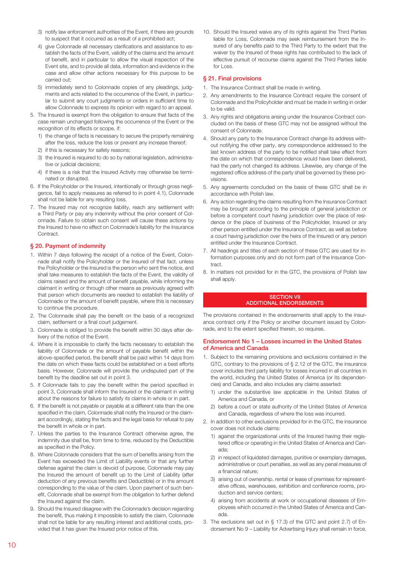- 3) notify law enforcement authorities of the Event, if there are grounds to suspect that it occurred as a result of a prohibited act;
- 4) give Colonnade all necessary clarifications and assistance to establish the facts of the Event, validity of the claims and the amount of benefit, and in particular to allow the visual inspection of the Event site, and to provide all data, information and evidence in the case and allow other actions necessary for this purpose to be carried out;
- 5) immediately send to Colonnade copies of any pleadings, judgments and acts related to the occurrence of the Event, in particular to submit any court judgments or orders in sufficient time to allow Colonnade to express its opinion with regard to an appeal.
- 5. The Insured is exempt from the obligation to ensure that facts of the case remain unchanged following the occurrence of the Event or the recognition of its effects or scope, if:
	- 1) the change of facts is necessary to secure the property remaining after the loss, reduce the loss or prevent any increase thereof;
	- 2) if this is necessary for safety reasons;
	- 3) the Insured is required to do so by national legislation, administrative or judicial decisions;
	- 4) if there is a risk that the Insured Activity may otherwise be terminated or disrupted.
- 6. If the Policyholder or the Insured, intentionally or through gross negligence, fail to apply measures as referred to in point 4.1), Colonnade shall not be liable for any resulting loss.
- 7. The Insured may not recognize liability, reach any settlement with a Third Party or pay any indemnity without the prior consent of Colonnade. Failure to obtain such consent will cause these actions by the Insured to have no effect on Colonnade's liability for the Insurance Contract.

## § 20. Payment of indemnity

- 1. Within 7 days following the receipt of a notice of the Event, Colonnade shall notify the Policyholder or the Insured of that fact, unless the Policyholder or the Insured is the person who sent the notice, and shall take measures to establish the facts of the Event, the validity of claims raised and the amount of benefit payable, while informing the claimant in writing or through other means as previously agreed with that person which documents are needed to establish the liability of Colonnade or the amount of benefit payable, where this is necessary to continue the procedure.
- 2. The Colonnade shall pay the benefit on the basis of a recognized claim, settlement or a final court judgement.
- 3. Colonnade is obliged to provide the benefit within 30 days after delivery of the notice of the Event.
- 4. Where it is impossible to clarify the facts necessary to establish the liability of Colonnade or the amount of payable benefit within the above-specified period, the benefit shall be paid within 14 days from the date on which these facts could be established on a best efforts basis. However, Colonnade will provide the undisputed part of the benefit by the deadline set out in point 3.
- 5. If Colonnade fails to pay the benefit within the period specified in point 3, Colonnade shall inform the Insured or the claimant in writing about the reasons for failure to satisfy its claims in whole or in part.
- 6. If the benefit is not payable or payable at a different rate than the one specified in the claim, Colonnade shall notify the Insured or the claimant accordingly, stating the facts and the legal basis for refusal to pay the benefit in whole or in part.
- 7. Unless the parties to the Insurance Contract otherwise agree, the indemnity due shall be, from time to time, reduced by the Deductible as specified in the Policy.
- 8. Where Colonnade considers that the sum of benefits arising from the Event has exceeded the Limit of Liability events or that any further defense against the claim is devoid of purpose, Colonnade may pay the Insured the amount of benefit up to the Limit of Liability (after deduction of any previous benefits and Deductible) or in the amount corresponding to the value of the claim. Upon payment of such benefit, Colonnade shall be exempt from the obligation to further defend the Insured against the claim.
- 9. Should the Insured disagree with the Colonnade's decision regarding the benefit, thus making it impossible to satisfy the claim, Colonnade shall not be liable for any resulting interest and additional costs, provided that it has given the Insured prior notice of this.

10. Should the Insured waive any of its rights against the Third Parties liable for Loss, Colonnade may seek reimbursement from the Insured of any benefits paid to the Third Party to the extent that the waiver by the Insured of these rights has contributed to the lack of effective pursuit of recourse claims against the Third Parties liable for Loss.

## § 21. Final provisions

- 1. The Insurance Contract shall be made in writing.
- 2. Any amendments to the Insurance Contract require the consent of Colonnade and the Policyholder and must be made in writing in order to be valid.
- 3. Any rights and obligations arising under the Insurance Contract concluded on the basis of these GTC may not be assigned without the consent of Colonnade.
- 4. Should any party to the Insurance Contract change its address without notifying the other party, any correspondence addressed to the last known address of the party to be notified shall take effect from the date on which that correspondence would have been delivered, had the party not changed its address. Likewise, any change of the registered office address of the party shall be governed by these provisions.
- 5. Any agreements concluded on the basis of these GTC shall be in accordance with Polish law.
- 6. Any action regarding the claims resulting from the Insurance Contract may be brought according to the principle of general jurisdiction or before a competent court having jurisdiction over the place of residence or the place of business of the Policyholder, Insured or any other person entitled under the Insurance Contract, as well as before a court having jurisdiction over the heirs of the Insured or any person entitled under the Insurance Contract.
- 7. All headings and titles of each section of these GTC are used for information purposes only and do not form part of the Insurance Con**tract**
- 8. In matters not provided for in the GTC, the provisions of Polish law shall apply.

#### **SECTION VII** ADDITIONAL ENDORSEMENTS

The provisions contained in the endorsements shall apply to the insurance contract only if the Policy or another document issued by Colonnade, and to the extent specified therein, so requires.

#### Endorsement No 1 – Losses incurred in the United States of America and Canada

- 1. Subject to the remaining provisions and exclusions contained in the GTC, contrary to the provisions of § 2.12 of the GTC, the insurance cover includes third party liability for losses incurred in all countries in the world, including the United States of America (or its dependencies) and Canada, and also includes any claims asserted:
	- 1) under the substantive law applicable in the United States of America and Canada, or
	- 2) before a court or state authority of the United States of America and Canada, regardless of where the loss was incurred.
- 2. In addition to other exclusions provided for in the GTC, the insurance cover does not include claims:
	- 1) against the organizational units of the Insured having their registered office or operating in the United States of America and Canada;
	- 2) in respect of liquidated damages, punitive or exemplary damages, administrative or court penalties, as well as any penal measures of a financial nature;
	- 3) arising out of ownership, rental or lease of premises for representative offices, warehouses, exhibition and conference rooms, production and service centers;
	- 4) arising from accidents at work or occupational diseases of Employees which occurred in the United States of America and Canada.
- 3. The exclusions set out in § 17.3) of the GTC and point 2.7) of Endorsement No 9 – Liability for Advertising Injury shall remain in force.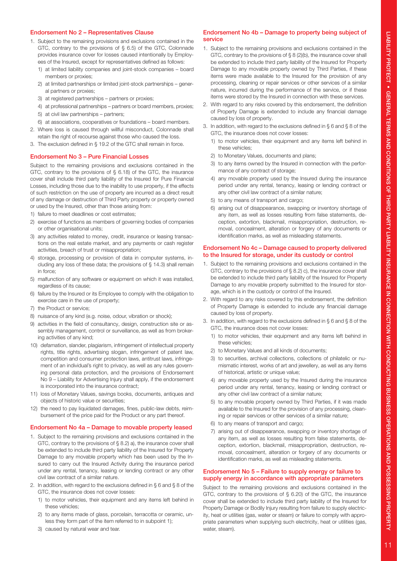## Endorsement No 2 – Representatives Clause

- 1. Subject to the remaining provisions and exclusions contained in the GTC, contrary to the provisions of § 6.5) of the GTC, Colonnade provides insurance cover for losses caused intentionally by Employees of the Insured, except for representatives defined as follows:
	- 1) at limited liability companies and joint-stock companies board members or proxies;
	- 2) at limited partnerships or limited joint-stock partnerships general partners or proxies;
	- 3) at registered partnerships partners or proxies;
	- 4) at professional partnerships partners or board members, proxies;
	- 5) at civil law partnerships partners;
	- 6) at associations, cooperatives or foundations board members.
- 2. Where loss is caused through willful misconduct, Colonnade shall retain the right of recourse against those who caused the loss.
- 3. The exclusion defined in § 19.2 of the GTC shall remain in force.

### Endorsement No 3 – Pure Financial Losses

Subject to the remaining provisions and exclusions contained in the GTC, contrary to the provisions of § 6.18) of the GTC, the insurance cover shall include third party liability of the Insured for Pure Financial Losses, including those due to the inability to use property, if the effects of such restriction on the use of property are incurred as a direct result of any damage or destruction of Third Party property or property owned or used by the Insured, other than those arising from:

- 1) failure to meet deadlines or cost estimates;
- 2) exercise of functions as members of governing bodies of companies or other organisational units;
- 3) any activities related to money, credit, insurance or leasing transactions on the real estate market, and any payments or cash register activities, breach of trust or misappropriation;
- 4) storage, processing or provision of data in computer systems, including any loss of these data; the provisions of § 14.3) shall remain in force;
- 5) malfunction of any software or equipment on which it was installed, regardless of its cause;
- 6) failure by the Insured or its Employee to comply with the obligation to exercise care in the use of property;
- 7) the Product or service;
- 8) nuisance of any kind (e.g. noise, odour, vibration or shock);
- 9) activities in the field of consultancy, design, construction site or assembly management, control or surveillance, as well as from brokering activities of any kind;
- 10) defamation, slander, plagiarism, infringement of intellectual property rights, title rights, advertising slogan, infringement of patent law, competition and consumer protection laws, antitrust laws, infringement of an individual's right to privacy, as well as any rules governing personal data protection, and the provisions of Endorsement No 9 – Liability for Advertising Injury shall apply, if the endorsement is incorporated into the insurance contract;
- 11) loss of Monetary Values, savings books, documents, antiques and objects of historic value or securities;
- 12) the need to pay liquidated damages, fines, public-law debts, reimbursement of the price paid for the Product or any part thereof.

#### Endorsement No 4a – Damage to movable property leased

- 1. Subject to the remaining provisions and exclusions contained in the GTC, contrary to the provisions of § 8.2) a), the insurance cover shall be extended to include third party liability of the Insured for Property Damage to any movable property which has been used by the Insured to carry out the Insured Activity during the insurance period under any rental, tenancy, leasing or lending contract or any other civil law contract of a similar nature.
- 2. In addition, with regard to the exclusions defined in § 6 and § 8 of the GTC, the insurance does not cover losses:
	- 1) to motor vehicles, their equipment and any items left behind in these vehicles;
	- 2) to any items made of glass, porcelain, terracotta or ceramic, unless they form part of the item referred to in subpoint 1);
	- 3) caused by natural wear and tear.

## Endorsement No 4b – Damage to property being subject of service

- 1. Subject to the remaining provisions and exclusions contained in the GTC, contrary to the provisions of § 8 (2)(b), the insurance cover shall be extended to include third party liability of the Insured for Property Damage to any movable property owned by Third Parties, if these items were made available to the Insured for the provision of any processing, cleaning or repair services or other services of a similar nature, incurred during the performance of the service, or if these items were stored by the Insured in connection with these services.
- 2. With regard to any risks covered by this endorsement, the definition of Property Damage is extended to include any financial damage caused by loss of property.
- 3. In addition, with regard to the exclusions defined in § 6 and § 8 of the GTC, the insurance does not cover losses:
	- 1) to motor vehicles, their equipment and any items left behind in these vehicles;
	- 2) to Monetary Values, documents and plans;
	- 3) to any items owned by the Insured in connection with the performance of any contract of storage;
	- 4) any movable property used by the Insured during the insurance period under any rental, tenancy, leasing or lending contract or any other civil law contract of a similar nature;
	- 5) to any means of transport and cargo;
	- 6) arising out of disappearance, swapping or inventory shortage of any item, as well as losses resulting from false statements, deception, extortion, blackmail, misappropriation, destruction, removal, concealment, alteration or forgery of any documents or identification marks, as well as misleading statements.

#### Endorsement No 4c – Damage caused to property delivered to the Insured for storage, under its custody or control

- 1. Subject to the remaining provisions and exclusions contained in the GTC, contrary to the provisions of § 8.2) c), the insurance cover shall be extended to include third party liability of the Insured for Property Damage to any movable property submitted to the Insured for storage, which is in the custody or control of the Insured.
- 2. With regard to any risks covered by this endorsement, the definition of Property Damage is extended to include any financial damage caused by loss of property.
- 3. In addition, with regard to the exclusions defined in § 6 and § 8 of the GTC, the insurance does not cover losses:
	- 1) to motor vehicles, their equipment and any items left behind in these vehicles;
	- 2) to Monetary Values and all kinds of documents;
	- 3) to securities, archival collections, collections of philatelic or numismatic interest, works of art and jewellery, as well as any items of historical, artistic or unique value;
	- 4) any movable property used by the Insured during the insurance period under any rental, tenancy, leasing or lending contract or any other civil law contract of a similar nature;
	- 5) to any movable property owned by Third Parties, if it was made available to the Insured for the provision of any processing, cleaning or repair services or other services of a similar nature;
	- 6) to any means of transport and cargo;
	- 7) arising out of disappearance, swapping or inventory shortage of any item, as well as losses resulting from false statements, deception, extortion, blackmail, misappropriation, destruction, removal, concealment, alteration or forgery of any documents or identification marks, as well as misleading statements.

## Endorsement No 5 – Failure to supply energy or failure to supply energy in accordance with appropriate parameters

Subject to the remaining provisions and exclusions contained in the GTC, contrary to the provisions of § 6.20) of the GTC, the insurance cover shall be extended to include third party liability of the Insured for Property Damage or Bodily Injury resulting from failure to supply electricity, heat or utilities (gas, water or steam) or failure to comply with appropriate parameters when supplying such electricity, heat or utilities (gas, water, steam).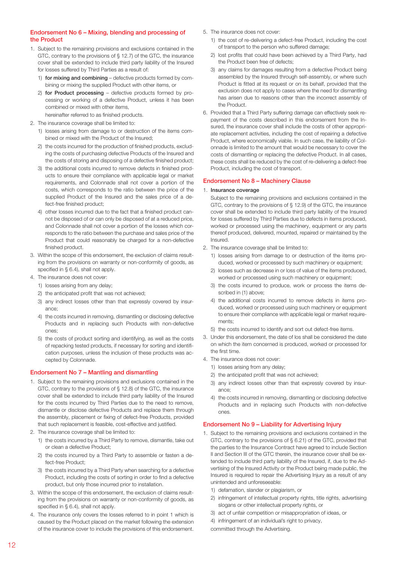## Endorsement No 6 – Mixing, blending and processing of the Product

- 1. Subject to the remaining provisions and exclusions contained in the GTC, contrary to the provisions of § 12.7) of the GTC, the insurance cover shall be extended to include third party liability of the Insured for losses suffered by Third Parties as a result of:
	- 1) for mixing and combining defective products formed by combining or mixing the supplied Product with other items, or
	- 2) for Product processing defective products formed by processing or working of a defective Product, unless it has been combined or mixed with other items, hereinafter referred to as finished products.
- 2. The insurance coverage shall be limited to:
	- 1) losses arising from damage to or destruction of the items combined or mixed with the Product of the Insured;
	- 2) the costs incurred for the production of finished products, excluding the costs of purchasing defective Products of the Insured and the costs of storing and disposing of a defective finished product;
	- 3) the additional costs incurred to remove defects in finished products to ensure their compliance with applicable legal or market requirements, and Colonnade shall not cover a portion of the costs, which corresponds to the ratio between the price of the supplied Product of the Insured and the sales price of a defect-free finished product;
	- 4) other losses incurred due to the fact that a finished product cannot be disposed of or can only be disposed of at a reduced price, and Colonnade shall not cover a portion of the losses which corresponds to the ratio between the purchase and sales price of the Product that could reasonably be charged for a non-defective finished product.
- 3. Within the scope of this endorsement, the exclusion of claims resulting from the provisions on warranty or non-conformity of goods, as specified in § 6.4), shall not apply.
- 4. The insurance does not cover:
	- 1) losses arising from any delay;
	- 2) the anticipated profit that was not achieved;
	- 3) any indirect losses other than that expressly covered by insurance;
	- 4) the costs incurred in removing, dismantling or disclosing defective Products and in replacing such Products with non-defective ones;
	- 5) the costs of product sorting and identifying, as well as the costs of repacking tested products, if necessary for sorting and identification purposes, unless the inclusion of these products was accepted by Colonnade.

## Endorsement No 7 – Mantling and dismantling

- 1. Subject to the remaining provisions and exclusions contained in the GTC, contrary to the provisions of § 12.8) of the GTC, the insurance cover shall be extended to include third party liability of the Insured for the costs incurred by Third Parties due to the need to remove, dismantle or disclose defective Products and replace them through the assembly, placement or fixing of defect-free Products, provided that such replacement is feasible, cost-effective and justified.
- 2. The insurance coverage shall be limited to:
	- 1) the costs incurred by a Third Party to remove, dismantle, take out or clean a defective Product;
	- 2) the costs incurred by a Third Party to assemble or fasten a defect-free Product;
	- 3) the costs incurred by a Third Party when searching for a defective Product, including the costs of sorting in order to find a defective product, but only those incurred prior to installation.
- 3. Within the scope of this endorsement, the exclusion of claims resulting from the provisions on warranty or non-conformity of goods, as specified in § 6.4), shall not apply.
- 4. The insurance only covers the losses referred to in point 1 which is caused by the Product placed on the market following the extension of the insurance cover to include the provisions of this endorsement.
- 5. The insurance does not cover:
	- 1) the cost of re-delivering a defect-free Product, including the cost of transport to the person who suffered damage;
	- 2) lost profits that could have been achieved by a Third Party, had the Product been free of defects;
	- 3) any claims for damages resulting from a defective Product being assembled by the Insured through self-assembly, or where such Product is fitted at its request or on its behalf, provided that the exclusion does not apply to cases where the need for dismantling has arisen due to reasons other than the incorrect assembly of the Product.
- 6. Provided that a Third Party suffering damage can effectively seek repayment of the costs described in this endorsement from the Insured, the insurance cover shall include the costs of other appropriate replacement activities, including the cost of repairing a defective Product, where economically viable. In such case, the liability of Colonnade is limited to the amount that would be necessary to cover the costs of dismantling or replacing the defective Product. In all cases, these costs shall be reduced by the cost of re-delivering a defect-free Product, including the cost of transport.

## Endorsement No 8 – Machinery Clause

#### 1. Insurance coverage

Subject to the remaining provisions and exclusions contained in the GTC, contrary to the provisions of § 12.9) of the GTC, the insurance cover shall be extended to include third party liability of the Insured for losses suffered by Third Parties due to defects in items produced, worked or processed using the machinery, equipment or any parts thereof produced, delivered, mounted, repaired or maintained by the Insured.

- 2. The insurance coverage shall be limited to:
	- 1) losses arising from damage to or destruction of the items produced, worked or processed by such machinery or equipment;
	- 2) losses such as decrease in or loss of value of the items produced, worked or processed using such machinery or equipment;
	- 3) the costs incurred to produce, work or process the items described in (1) above;
	- 4) the additional costs incurred to remove defects in items produced, worked or processed using such machinery or equipment to ensure their compliance with applicable legal or market requirements;
	- 5) the costs incurred to identify and sort out defect-free items.
- 3. Under this endorsement, the date of los shall be considered the date on which the item concerned is produced, worked or processed for the first time.
- 4. The insurance does not cover:
	- 1) losses arising from any delay;
	- 2) the anticipated profit that was not achieved;
	- 3) any indirect losses other than that expressly covered by insurance;
	- 4) the costs incurred in removing, dismantling or disclosing defective Products and in replacing such Products with non-defective ones.

## Endorsement No 9 – Liability for Advertising Injury

- 1. Subject to the remaining provisions and exclusions contained in the GTC, contrary to the provisions of § 6.21) of the GTC, provided that the parties to the Insurance Contract have agreed to include Section II and Section III of the GTC therein, the insurance cover shall be extended to include third party liability of the Insured, if, due to the Advertising of the Insured Activity or the Product being made public, the Insured is required to repair the Advertising Injury as a result of any unintended and unforeseeable:
	- 1) defamation, slander or plagiarism, or
	- 2) infringement of intellectual property rights, title rights, advertising slogans or other intellectual property rights, or
	- 3) act of unfair competition or misappropriation of ideas, or
	- 4) infringement of an individual's right to privacy,
	- committed through the Advertising.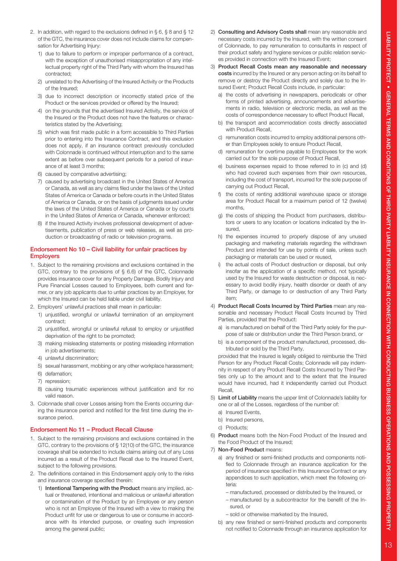- 2. In addition, with regard to the exclusions defined in § 6, § 8 and § 12 of the GTC, the insurance cover does not include claims for compensation for Advertising Injury:
	- 1) due to failure to perform or improper performance of a contract, with the exception of unauthorised misappropriation of any intellectual property right of the Third Party with whom the Insured has contracted;
	- 2) unrelated to the Advertising of the Insured Activity or the Products of the Insured;
	- 3) due to incorrect description or incorrectly stated price of the Product or the services provided or offered by the Insured;
	- 4) on the grounds that the advertised Insured Activity, the service of the Insured or the Product does not have the features or characteristics stated by the Advertising;
	- 5) which was first made public in a form accessible to Third Parties prior to entering into the Insurance Contract, and this exclusion does not apply, if an insurance contract previously concluded with Colonnade is continued without interruption and to the same extent as before over subsequent periods for a period of insurance of at least 3 months;
	- 6) caused by comparative advertising;
	- 7) caused by advertising broadcast in the United States of America or Canada, as well as any claims filed under the laws of the United States of America or Canada or before courts in the United States of America or Canada, or on the basis of judgments issued under the laws of the United States of America or Canada or by courts in the United States of America or Canada, whenever enforced;
	- 8) if the Insured Activity involves professional development of advertisements, publication of press or web releases, as well as production or broadcasting of radio or television programs.

## Endorsement No 10 – Civil liability for unfair practices by **Employers**

- 1. Subject to the remaining provisions and exclusions contained in the GTC, contrary to the provisions of § 6.6) of the GTC, Colonnade provides insurance cover for any Property Damage, Bodily Injury and Pure Financial Losses caused to Employees, both current and former, or any job applicants due to unfair practices by an Employer, for which the Insured can be held liable under civil liability.
- 2. Employers' unlawful practices shall mean in particular:
	- 1) unjustified, wrongful or unlawful termination of an employment contract;
	- 2) unjustified, wrongful or unlawful refusal to employ or unjustified deprivation of the right to be promoted;
	- 3) making misleading statements or posting misleading information in job advertisements;
	- 4) unlawful discrimination;
	- 5) sexual harassment, mobbing or any other workplace harassment;
	- 6) defamation;
	- 7) repression;
	- 8) causing traumatic experiences without justification and for no valid reason.
- 3. Colonnade shall cover Losses arising from the Events occurring during the insurance period and notified for the first time during the insurance period.

#### Endorsement No 11 – Product Recall Clause

- 1. Subject to the remaining provisions and exclusions contained in the GTC, contrary to the provisions of § 12(10) of the GTC, the insurance coverage shall be extended to include claims arising out of any Loss incurred as a result of the Product Recall due to the Insured Event, subject to the following provisions.
- 2. The definitions contained in this Endorsement apply only to the risks and insurance coverage specified therein:
	- 1) Intentional Tampering with the Product means any implied, actual or threatened, intentional and malicious or unlawful alteration or contamination of the Product by an Employee or any person who is not an Employee of the Insured with a view to making the Product unfit for use or dangerous to use or consume in accordance with its intended purpose, or creating such impression among the general public;
- 2) Consulting and Advisory Costs shall mean any reasonable and necessary costs incurred by the Insured, with the written consent of Colonnade, to pay remuneration to consultants in respect of their product safety and hygiene services or public relation services provided in connection with the Insured Event;
- 3) Product Recall Costs mean any reasonable and necessary costs incurred by the Insured or any person acting on its behalf to remove or destroy the Product directly and solely due to the Insured Event; Product Recall Costs include, in particular:
	- a) the costs of advertising in newspapers, periodicals or other forms of printed advertising, announcements and advertisements in radio, television or electronic media, as well as the costs of correspondence necessary to effect Product Recall,
	- b) the transport and accommodation costs directly associated with Product Recall,
	- c) remuneration costs incurred to employ additional persons other than Employees solely to ensure Product Recall,
	- d) remuneration for overtime payable to Employees for the work carried out for the sole purpose of Product Recall,
	- e) business expenses repaid to those referred to in (c) and (d) who had covered such expenses from their own resources, including the cost of transport, incurred for the sole purpose of carrying out Product Recall,
	- f) the costs of renting additional warehouse space or storage area for Product Recall for a maximum period of 12 (twelve) months,
	- g) the costs of shipping the Product from purchasers, distributors or users to any location or locations indicated by the Insured,
	- h) the expenses incurred to properly dispose of any unused packaging and marketing materials regarding the withdrawn Product and intended for use by points of sale, unless such packaging or materials can be used or reused,
	- i) the actual costs of Product destruction or disposal, but only insofar as the application of a specific method, not typically used by the Insured for waste destruction or disposal, is necessary to avoid bodily injury, health disorder or death of any Third Party, or damage to or destruction of any Third Party item;
- 4) Product Recall Costs Incurred by Third Parties mean any reasonable and necessary Product Recall Costs Incurred by Third Parties, provided that the Product:
	- a) is manufactured on behalf of the Third Party solely for the purpose of sale or distribution under the Third Person brand, or
	- b) is a component of the product manufactured, processed, distributed or sold by the Third Party,

 provided that the Insured is legally obliged to reimburse the Third Person for any Product Recall Costs; Colonnade will pay indemnity in respect of any Product Recall Costs Incurred by Third Parties only up to the amount and to the extent that the Insured would have incurred, had it independently carried out Product Recall,

- 5) Limit of Liability means the upper limit of Colonnade's liability for one or all of the Losses, regardless of the number of:
	- a) Insured Events,
	- b) Insured persons,
	- c) Products;
- 6) Product means both the Non-Food Product of the Insured and the Food Product of the Insured;
- 7) Non-Food Product means:
	- a) any finished or semi-finished products and components notified to Colonnade through an insurance application for the period of insurance specified in this Insurance Contract or any appendices to such application, which meet the following criteria:
		- manufactured, processed or distributed by the Insured, or
		- manufactured by a subcontractor for the benefit of the Insured, or
		- sold or otherwise marketed by the Insured,
	- b) any new finished or semi-finished products and components not notified to Colonnade through an insurance application for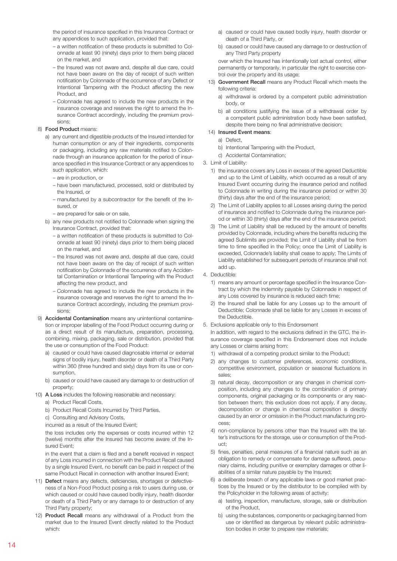the period of insurance specified in this Insurance Contract or any appendices to such application, provided that:

- a written notification of these products is submitted to Colonnade at least 90 (ninety) days prior to them being placed on the market, and
- the Insured was not aware and, despite all due care, could not have been aware on the day of receipt of such written notification by Colonnade of the occurrence of any Defect or Intentional Tampering with the Product affecting the new Product, and
- Colonnade has agreed to include the new products in the insurance coverage and reserves the right to amend the Insurance Contract accordingly, including the premium provisions;

### 8) Food Product means:

- a) any current and digestible products of the Insured intended for human consumption or any of their ingredients, components or packaging, including any raw materials notified to Colonnade through an insurance application for the period of insurance specified in this Insurance Contract or any appendices to such application, which:
	- are in production, or
	- have been manufactured, processed, sold or distributed by the Insured, or
	- manufactured by a subcontractor for the benefit of the Insured, or
	- are prepared for sale or on sale,
- b) any new products not notified to Colonnade when signing the Insurance Contract, provided that:
	- a written notification of these products is submitted to Colonnade at least 90 (ninety) days prior to them being placed on the market, and
	- the Insured was not aware and, despite all due care, could not have been aware on the day of receipt of such written notification by Colonnade of the occurrence of any Accidental Contamination or Intentional Tampering with the Product affecting the new product, and
	- Colonnade has agreed to include the new products in the insurance coverage and reserves the right to amend the Insurance Contract accordingly, including the premium provisions;
- 9) Accidental Contamination means any unintentional contamination or improper labelling of the Food Product occurring during or as a direct result of its manufacture, preparation, processing, combining, mixing, packaging, sale or distribution, provided that the use or consumption of the Food Product:
	- a) caused or could have caused diagnosable internal or external signs of bodily injury, health disorder or death of a Third Party within 360 (three hundred and sixty) days from its use or consumption,
	- b) caused or could have caused any damage to or destruction of property;
- 10) A Loss includes the following reasonable and necessary:
	- a) Product Recall Costs,
	- b) Product Recall Costs Incurred by Third Parties,
	- c) Consulting and Advisory Costs,
	- incurred as a result of the Insured Event;

 the loss includes only the expenses or costs incurred within 12 (twelve) months after the Insured has become aware of the Insured Event;

 in the event that a claim is filed and a benefit received in respect of any Loss incurred in connection with the Product Recall caused by a single Insured Event, no benefit can be paid in respect of the same Product Recall in connection with another Insured Event;

- 11) Defect means any defects, deficiencies, shortages or defectiveness of a Non-Food Product posing a risk to users during use, or which caused or could have caused bodily injury, health disorder or death of a Third Party or any damage to or destruction of any Third Party property;
- 12) Product Recall means any withdrawal of a Product from the market due to the Insured Event directly related to the Product which:
- a) caused or could have caused bodily injury, health disorder or death of a Third Party, or
- b) caused or could have caused any damage to or destruction of any Third Party property

 over which the Insured has intentionally lost actual control, either permanently or temporarily, in particular the right to exercise control over the property and its usage;

- 13) Government Recall means any Product Recall which meets the following criteria:
	- a) withdrawal is ordered by a competent public administration body, or
	- b) all conditions justifying the issue of a withdrawal order by a competent public administration body have been satisfied, despite there being no final administrative decision;

## 14) Insured Event means:

- a) Defect,
- b) Intentional Tampering with the Product,
- c) Accidental Contamination;
- 3. Limit of Liability:
	- 1) the insurance covers any Loss in excess of the agreed Deductible and up to the Limit of Liability, which occurred as a result of any Insured Event occurring during the insurance period and notified to Colonnade in writing during the insurance period or within 30 (thirty) days after the end of the insurance period;
	- 2) The Limit of Liability applies to all Losses arising during the period of insurance and notified to Colonnade during the insurance period or within 30 (thirty) days after the end of the insurance period;
	- 3) The Limit of Liability shall be reduced by the amount of benefits provided by Colonnade, including where the benefits reducing the agreed Sublimits are provided; the Limit of Liability shall be from time to time specified in the Policy; once the Limit of Liability is exceeded, Colonnade's liability shall cease to apply; The Limits of Liability established for subsequent periods of insurance shall not add up.
- 4. Deductible:
	- 1) means any amount or percentage specified in the Insurance Contract by which the indemnity payable by Colonnade in respect of any Loss covered by insurance is reduced each time;
	- 2) the Insured shall be liable for any Losses up to the amount of Deductible; Colonnade shall be liable for any Losses in excess of the Deductible.
- 5. Exclusions applicable only to this Endorsement

 In addition, with regard to the exclusions defined in the GTC, the insurance coverage specified in this Endorsement does not include any Losses or claims arising from:

- 1) withdrawal of a competing product similar to the Product;
- 2) any changes to customer preferences, economic conditions, competitive environment, population or seasonal fluctuations in sales;
- 3) natural decay, decomposition or any changes in chemical composition, including any changes to the combination of primary components, original packaging or its components or any reaction between them; this exclusion does not apply, if any decay, decomposition or change in chemical composition is directly caused by an error or omission in the Product manufacturing process;
- 4) non-compliance by persons other than the Insured with the latter's instructions for the storage, use or consumption of the Product;
- 5) fines, penalties, penal measures of a financial nature such as an obligation to remedy or compensate for damage suffered, pecuniary claims, including punitive or exemplary damages or other liabilities of a similar nature payable by the Insured;
- 6) a deliberate breach of any applicable laws or good market practices by the Insured or by the distributor to be complied with by the Policyholder in the following areas of activity:
	- a) testing, inspection, manufacture, storage, sale or distribution of the Product,
	- b) using the substances, components or packaging banned from use or identified as dangerous by relevant public administration bodies in order to prepare raw materials;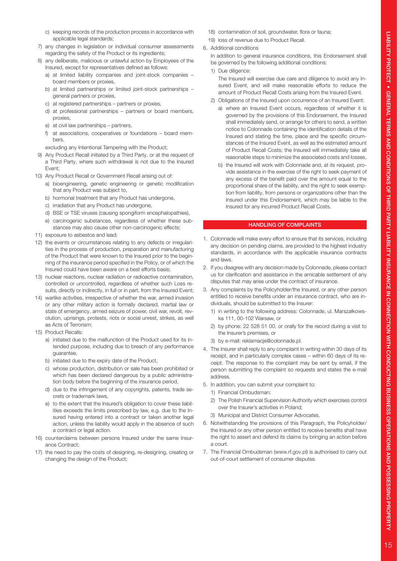- c) keeping records of the production process in accordance with applicable legal standards;
- 7) any changes in legislation or individual consumer assessments regarding the safety of the Product or its ingredients;
- 8) any deliberate, malicious or unlawful action by Employees of the Insured, except for representatives defined as follows:
	- a) at limited liability companies and joint-stock companies board members or proxies,
	- b) at limited partnerships or limited joint-stock partnerships general partners or proxies,
	- c) at registered partnerships partners or proxies,
	- d) at professional partnerships partners or board members, proxies,
	- e) at civil law partnerships partners,
	- f) at associations, cooperatives or foundations board members,

excluding any Intentional Tampering with the Product;

- 9) Any Product Recall initiated by a Third Party, or at the request of a Third Party, where such withdrawal is not due to the Insured Event;
- 10) Any Product Recall or Government Recall arising out of:
	- a) bioengineering, genetic engineering or genetic modification that any Product was subject to,
	- b) hormonal treatment that any Product has undergone,
	- c) irradiation that any Product has undergone,
	- d) BSE or TSE viruses (causing spongiform encephalopathies),
	- e) carcinogenic substances, regardless of whether these substances may also cause other non-carcinogenic effects;
- 11) exposure to asbestos and lead;
- 12) the events or circumstances relating to any defects or irregularities in the process of production, preparation and manufacturing of the Product that were known to the Insured prior to the beginning of the insurance period specified in the Policy, or of which the Insured could have been aware on a best efforts basis;
- 13) nuclear reactions, nuclear radiation or radioactive contamination, controlled or uncontrolled, regardless of whether such Loss results, directly or indirectly, in full or in part, from the Insured Event;
- 14) warlike activities, irrespective of whether the war, armed invasion or any other military action is formally declared, martial law or state of emergency, armed seizure of power, civil war, revolt, revolution, uprisings, protests, riots or social unrest, strikes, as well as Acts of Terrorism;
- 15) Product Recalls:
	- a) initiated due to the malfunction of the Product used for its intended purpose, including due to breach of any performance guarantee,
	- b) initiated due to the expiry date of the Product,
	- c) whose production, distribution or sale has been prohibited or which has been declared dangerous by a public administration body before the beginning of the insurance period,
	- d) due to the infringement of any copyrights, patents, trade secrets or trademark laws,
	- e) to the extent that the Insured's obligation to cover these liabilities exceeds the limits prescribed by law, e.g. due to the Insured having entered into a contract or taken another legal action, unless the liability would apply in the absence of such a contract or legal action.
- 16) counterclaims between persons Insured under the same Insurance Contract;
- 17) the need to pay the costs of designing, re-designing, creating or changing the design of the Product;
- 18) contamination of soil, groundwater, flora or fauna;
- 19) loss of revenue due to Product Recall.
- 6. Additional conditions
	- In addition to general insurance conditions, this Endorsement shall be governed by the following additional conditions:
	- 1) Due diligence: The Insured will exercise due care and diligence to avoid any Insured Event, and will make reasonable efforts to reduce the amount of Product Recall Costs arising from the Insured Event.
	- 2) Obligations of the Insured upon occurrence of an Insured Event:
		- a) where an Insured Event occurs, regardless of whether it is governed by the provisions of this Endorsement, the Insured shall immediately send, or arrange for others to send, a written notice to Colonnade containing the identification details of the Insured and stating the time, place and the specific circumstances of the Insured Event, as well as the estimated amount of Product Recall Costs; the Insured will immediately take all reasonable steps to minimize the associated costs and losses,
		- b) the Insured will work with Colonnade and, at its request, provide assistance in the exercise of the right to seek payment of any excess of the benefit paid over the amount equal to the proportional share of the liability, and the right to seek exemption from liability, from persons or organizations other than the Insured under this Endorsement, which may be liable to the Insured for any incurred Product Recall Costs.

## HANDLING OF COMPLAINTS

- 1. Colonnade will make every effort to ensure that its services, including any decision on pending claims, are provided to the highest industry standards, in accordance with the applicable insurance contracts and laws.
- 2. If you disagree with any decision made by Colonnade, please contact us for clarification and assistance in the amicable settlement of any disputes that may arise under the contract of insurance.
- 3. Any complaints by the Policyholder/the Insured, or any other person entitled to receive benefits under an insurance contract, who are individuals, should be submitted to the Insurer:
	- 1) in writing to the following address: Colonnade, ul. Marszałkowska 111, 00-102 Warsaw, or
	- 2) by phone: 22 528 51 00, or orally for the record during a visit to the Insurer's premises, or
	- 3) by e-mail: reklamacje@colonnade.pl.
- 4. The Insurer shall reply to any complaint in writing within 30 days of its receipt, and in particularly complex cases – within 60 days of its receipt. The response to the complaint may be sent by email, if the person submitting the complaint so requests and states the e-mail address.
- 5. In addition, you can submit your complaint to:
	- 1) Financial Ombudsman;
	- 2) The Polish Financial Supervision Authority which exercises control over the Insurer's activities in Poland;
	- 3) Municipal and District Consumer Advocates.
- 6. Notwithstanding the provisions of this Paragraph, the Policyholder/ the Insured or any other person entitled to receive benefits shall have the right to assert and defend its claims by bringing an action before a court.
- 7. The Financial Ombudsman (www.rf.gov.pl) is authorised to carry out out-of-court settlement of consumer disputes.